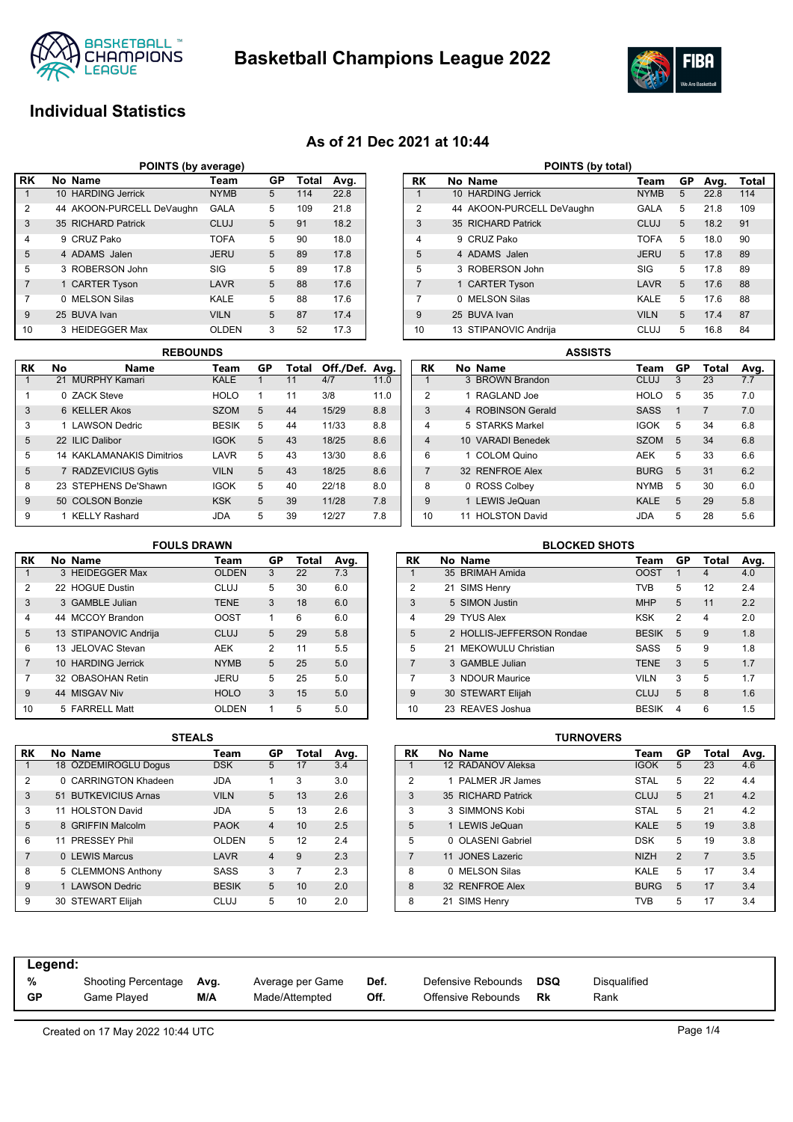

**Basketball Champions League 2022**



# **Individual Statistics**

## **As of 21 Dec 2021 at 10:44**

|                | POINTS (by average)                                |                           |             |    |              |      |  |  |  |  |
|----------------|----------------------------------------------------|---------------------------|-------------|----|--------------|------|--|--|--|--|
| l RK           |                                                    | No Name                   | Team        | GP | <b>Total</b> | Avg. |  |  |  |  |
|                |                                                    | 10 HARDING Jerrick        | <b>NYMB</b> | 5  | 114          | 22.8 |  |  |  |  |
| $\overline{2}$ |                                                    | 44 AKOON-PURCELL DeVaughn | <b>GALA</b> | 5  | 109          | 21.8 |  |  |  |  |
| 3              |                                                    | 35 RICHARD Patrick        | CLUJ        | 5  | 91           | 18.2 |  |  |  |  |
| $\overline{4}$ |                                                    | 9 CRUZ Pako               | <b>TOFA</b> | 5  | 90           | 18.0 |  |  |  |  |
| 5              |                                                    | 4 ADAMS Jalen             | <b>JERU</b> | 5  | 89           | 17.8 |  |  |  |  |
| 5              |                                                    | 3 ROBERSON John           | <b>SIG</b>  | 5  | 89           | 17.8 |  |  |  |  |
| $\overline{7}$ |                                                    | 1 CARTER Tyson            | LAVR        | 5  | 88           | 17.6 |  |  |  |  |
| $\overline{7}$ |                                                    | 0 MELSON Silas            | KALE        | 5  | 88           | 17.6 |  |  |  |  |
| 9              |                                                    | 25 BUVA Ivan              | <b>VILN</b> | 5  | 87           | 17.4 |  |  |  |  |
| 10             | 3<br>3 HEIDEGGER Max<br><b>OLDEN</b><br>52<br>17.3 |                           |             |    |              |      |  |  |  |  |

|    |    | <b>REBOUNDS</b>            |              |    |       |                |      |
|----|----|----------------------------|--------------|----|-------|----------------|------|
| RK | No | <b>Name</b>                | Team         | GP | Total | Off./Def. Avg. |      |
|    |    | 21 MURPHY Kamari           | KALE         |    | 11    | 4/7            | 11.0 |
| 1  |    | 0 ZACK Steve               | <b>HOLO</b>  | 1  | 11    | 3/8            | 11.0 |
| 3  |    | 6 KFLLER Akos              | <b>SZOM</b>  | 5  | 44    | 15/29          | 8.8  |
| 3  |    | 1 LAWSON Dedric            | <b>BESIK</b> | 5  | 44    | 11/33          | 8.8  |
| 5  |    | 22 ILIC Dalibor            | <b>IGOK</b>  | 5  | 43    | 18/25          | 8.6  |
| 5  |    | 14 KAKI AMANAKIS Dimitrios | LAVR         | 5  | 43    | 13/30          | 8.6  |
| 5  |    | 7 RADZEVICIUS Gytis        | <b>VILN</b>  | 5  | 43    | 18/25          | 8.6  |
| 8  |    | 23 STEPHENS De'Shawn       | <b>IGOK</b>  | 5  | 40    | 22/18          | 8.0  |
| 9  |    | 50 COLSON Bonzie           | <b>KSK</b>   | 5  | 39    | 11/28          | 7.8  |
| 9  |    | 1 KELLY Rashard            | JDA          | 5  | 39    | 12/27          | 7.8  |

|                | POINTS (by total) |                           |             |    |      |       |  |  |  |  |  |
|----------------|-------------------|---------------------------|-------------|----|------|-------|--|--|--|--|--|
| RK             |                   | No Name                   | Team        | GP | Avg. | Total |  |  |  |  |  |
| 1              |                   | 10 HARDING Jerrick        | <b>NYMB</b> | 5  | 22.8 | 114   |  |  |  |  |  |
| $\overline{2}$ |                   | 44 AKOON-PURCELL DeVaughn | GALA        | 5  | 21.8 | 109   |  |  |  |  |  |
| 3              |                   | 35 RICHARD Patrick        | CLUJ        | 5  | 18.2 | 91    |  |  |  |  |  |
| 4              |                   | 9 CRUZ Pako               | <b>TOFA</b> | 5  | 18.0 | 90    |  |  |  |  |  |
| 5              |                   | 4 ADAMS Jalen             | <b>JERU</b> | 5  | 17.8 | 89    |  |  |  |  |  |
| 5              |                   | 3 ROBERSON John           | SIG         | 5  | 17.8 | 89    |  |  |  |  |  |
| $\overline{7}$ |                   | 1 CARTER Tyson            | LAVR        | 5  | 17.6 | 88    |  |  |  |  |  |
| 7              | 0                 | <b>MELSON Silas</b>       | KALE        | 5  | 17.6 | 88    |  |  |  |  |  |
| 9              |                   | 25 BUVA Ivan              | <b>VILN</b> | 5  | 17.4 | 87    |  |  |  |  |  |
| 10             |                   | 13 STIPANOVIC Andrija     | CLUJ        | 5  | 16.8 | 84    |  |  |  |  |  |

|                | <b>ASSISTS</b>                         |                      |  |             |   |                |     |  |  |  |  |
|----------------|----------------------------------------|----------------------|--|-------------|---|----------------|-----|--|--|--|--|
| RK             | GP<br>No Name<br>Total<br>Avg.<br>Team |                      |  |             |   |                |     |  |  |  |  |
|                |                                        | 3 BROWN Brandon      |  | <b>CLUJ</b> | 3 | 23             | 7.7 |  |  |  |  |
| $\overline{2}$ |                                        | 1 RAGLAND Joe        |  | <b>HOLO</b> | 5 | 35             | 7.0 |  |  |  |  |
| 3              |                                        | 4 ROBINSON Gerald    |  | <b>SASS</b> | 1 | $\overline{7}$ | 7.0 |  |  |  |  |
| 4              |                                        | 5 STARKS Markel      |  | <b>IGOK</b> | 5 | 34             | 6.8 |  |  |  |  |
| $\overline{4}$ |                                        | 10 VARADI Benedek    |  | <b>SZOM</b> | 5 | 34             | 6.8 |  |  |  |  |
| 6              |                                        | 1 COLOM Quino        |  | <b>AEK</b>  | 5 | 33             | 6.6 |  |  |  |  |
| $\overline{7}$ |                                        | 32 RENFROE Alex      |  | <b>BURG</b> | 5 | 31             | 6.2 |  |  |  |  |
| 8              |                                        | 0 ROSS Colbey        |  | <b>NYMB</b> | 5 | 30             | 6.0 |  |  |  |  |
| 9              |                                        | 1 LEWIS JeQuan       |  | <b>KALE</b> | 5 | 29             | 5.8 |  |  |  |  |
| 10             |                                        | <b>HOLSTON David</b> |  | JDA         | 5 | 28             | 5.6 |  |  |  |  |

### **RK No Name Team GP Total Avg.** 1 3 HEIDEGGER Max 2 22 HOGUE Dustin CLUJ 5 30 6.0 3 3 GAMBLE Julian TENE 3 18 6.0 4 44 MCCOY Brandon OOST 1 6 6.0 5 13 STIPANOVIC Andrija CLUJ 5 29 5.8 6 13 JELOVAC Stevan AEK 2 11 5.5 7 10 HARDING Jerrick MYMB 5 25 5.0 7 32 OBASOHAN Retin JERU 5 25 5.0 9 44 MISGAV Niv **HOLO** 3 15 5.0 10 5 FARRELL Matt **OLDEN** 1 5 5.0 **FOULS DRAWN**

|                |    | <b>STEALS</b>         |              |                |       |      |
|----------------|----|-----------------------|--------------|----------------|-------|------|
| RK             |    | No Name               | Team         | GP             | Total | Avg. |
| 1              |    | 18 ÖZDEMIROGLU Doqus  | <b>DSK</b>   | 5              | 17    | 3.4  |
| 2              |    | 0 CARRINGTON Khadeen  | <b>JDA</b>   | 1              | 3     | 3.0  |
| 3              |    | 51 BUTKEVICIUS Arnas  | <b>VILN</b>  | 5              | 13    | 2.6  |
| 3              | 11 | <b>HOL STON David</b> | <b>JDA</b>   | 5              | 13    | 2.6  |
| 5              |    | 8 GRIFFIN Malcolm     | <b>PAOK</b>  | $\overline{4}$ | 10    | 2.5  |
| 6              |    | 11 PRESSEY Phil       | <b>OLDEN</b> | 5              | 12    | 2.4  |
| $\overline{7}$ |    | 0 LEWIS Marcus        | LAVR         | $\overline{4}$ | 9     | 2.3  |
| 8              |    | 5 CLEMMONS Anthony    | <b>SASS</b>  | 3              | 7     | 2.3  |
| 9              |    | <b>LAWSON Dedric</b>  | <b>BESIK</b> | 5              | 10    | 2.0  |
| 9              |    | 30 STEWART Elijah     | CLUJ         | 5              | 10    | 2.0  |

| <b>BLOCKED SHOTS</b> |  |                           |              |                |              |      |  |  |  |  |
|----------------------|--|---------------------------|--------------|----------------|--------------|------|--|--|--|--|
| RK                   |  | No Name                   | Team         | GP             | Total        | Avg. |  |  |  |  |
| 1                    |  | 35 BRIMAH Amida           | <b>OOST</b>  | 1              | 4            | 4.0  |  |  |  |  |
| 2                    |  | 21 SIMS Henry             | <b>TVB</b>   | 5              | 12           | 2.4  |  |  |  |  |
| 3                    |  | 5 SIMON Justin            | <b>MHP</b>   | 5              | 11           | 2.2  |  |  |  |  |
| 4                    |  | 29 TYUS Alex              | <b>KSK</b>   | 2              | 4            | 2.0  |  |  |  |  |
| 5                    |  | 2 HOLLIS-JEFFERSON Rondae | <b>BESIK</b> | 5              | 9            | 1.8  |  |  |  |  |
| 5                    |  | 21 MEKOWULU Christian     | <b>SASS</b>  | 5              | 9            | 1.8  |  |  |  |  |
| $\overline{7}$       |  | 3 GAMBLE Julian           | <b>TENE</b>  | 3              | 5            | 1.7  |  |  |  |  |
| 7                    |  | 3 NDOUR Maurice           | <b>VILN</b>  | 3              | 5            | 1.7  |  |  |  |  |
| 9                    |  | 30 STEWART Elijah         | CLUJ         | 5              | $\mathsf{a}$ | 1.6  |  |  |  |  |
| 10                   |  | 23 REAVES Joshua          | <b>BESIK</b> | $\overline{4}$ | 6            | 1.5  |  |  |  |  |

| <b>STEALS</b> |              |                |       |      |                |    |                    | <b>TURNOVERS</b> |             |               |       |      |
|---------------|--------------|----------------|-------|------|----------------|----|--------------------|------------------|-------------|---------------|-------|------|
|               | Team         | GP             | Total | Avg. | <b>RK</b>      |    | No Name            |                  | Team        | GP            | Total | Avg. |
|               | <b>DSK</b>   | 5              | 17    | 3.4  |                |    | 12 RADANOV Aleksa  |                  | <b>IGOK</b> | 5             | 23    | 4.6  |
|               | <b>JDA</b>   | 1              | 3     | 3.0  | 2              |    | 1 PALMER JR James  |                  | <b>STAL</b> | 5             | 22    | 4.4  |
|               | <b>VILN</b>  | 5              | 13    | 2.6  | 3              |    | 35 RICHARD Patrick |                  | <b>CLUJ</b> | 5             | 21    | 4.2  |
|               | <b>JDA</b>   | 5              | 13    | 2.6  | 3              |    | 3 SIMMONS Kobi     |                  | <b>STAL</b> | 5             | 21    | 4.2  |
|               | <b>PAOK</b>  | $\overline{4}$ | 10    | 2.5  | 5              |    | 1 LEWIS JeQuan     |                  | <b>KALE</b> | 5             | 19    | 3.8  |
|               | <b>OLDEN</b> | 5              | 12    | 2.4  | 5              |    | 0 OLASENI Gabriel  |                  | <b>DSK</b>  | 5             | 19    | 3.8  |
|               | LAVR         | $\overline{4}$ | 9     | 2.3  | $\overline{7}$ |    | 11 JONES Lazeric   |                  | <b>NIZH</b> | $\mathcal{P}$ | 7     | 3.5  |
|               | <b>SASS</b>  | 3              | 7     | 2.3  | 8              |    | 0 MELSON Silas     |                  | KALE        | 5             | 17    | 3.4  |
|               | <b>BESIK</b> | 5              | 10    | 2.0  | 8              |    | 32 RENFROE Alex    |                  | <b>BURG</b> | 5             | 17    | 3.4  |
|               | <b>CLUJ</b>  | 5              | 10    | 2.0  | 8              | 21 | SIMS Henry         |                  | TVB         | 5             | 17    | 3.4  |

| Legend:   |                     |      |                  |      |                    |     |              |
|-----------|---------------------|------|------------------|------|--------------------|-----|--------------|
| %         | Shooting Percentage | Avg. | Average per Game | Def. | Defensive Rebounds | DSQ | Disqualified |
| <b>GP</b> | Game Plaved         | M/A  | Made/Attempted   | Off. | Offensive Rebounds | Rk  | Rank         |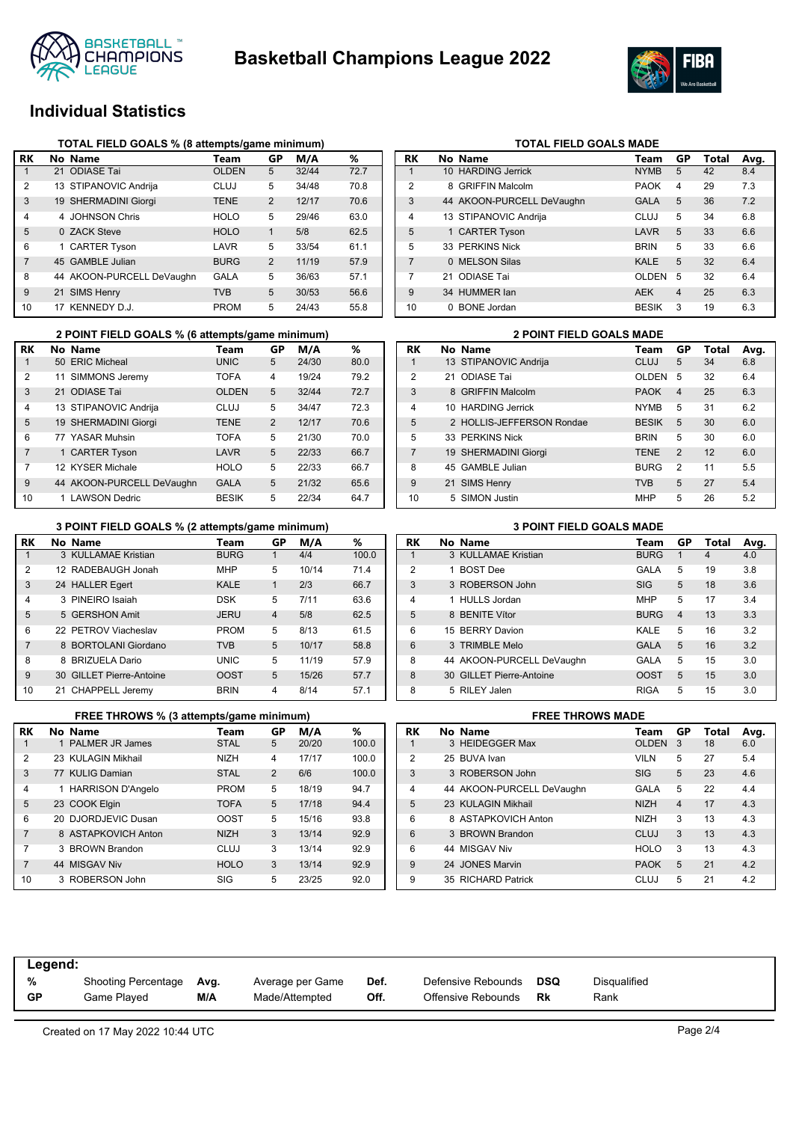



# **Individual Statistics**

| RK             | No Name                   | Team         | GP             | M/A   | ℅    |
|----------------|---------------------------|--------------|----------------|-------|------|
| 1              | 21 ODIASE Tai             | <b>OLDEN</b> | 5              | 32/44 | 72.7 |
| $\overline{2}$ | 13 STIPANOVIC Andrija     | CLUJ         | 5              | 34/48 | 70.8 |
| 3              | 19 SHERMADINI Giorgi      | <b>TENE</b>  | $\overline{2}$ | 12/17 | 70.6 |
| 4              | 4 JOHNSON Chris           | <b>HOLO</b>  | 5              | 29/46 | 63.0 |
| 5              | 0 ZACK Steve              | <b>HOLO</b>  | 1              | 5/8   | 62.5 |
| 6              | 1 CARTER Tyson            | LAVR         | 5              | 33/54 | 61.1 |
| 7              | 45 GAMBLE Julian          | <b>BURG</b>  | 2              | 11/19 | 57.9 |
| 8              | 44 AKOON-PURCELL DeVaughn | GALA         | 5              | 36/63 | 57.1 |
| 9              | 21 SIMS Henry             | <b>TVB</b>   | 5              | 30/53 | 56.6 |
| 10             | 17 KENNEDY D.J.           | <b>PROM</b>  | 5              | 24/43 | 55.8 |

|                | 2 POINT FIELD GOALS % (6 attempts/game minimum) |              |                |       | <b>2 POINT FIELD GOALS MADE</b> |    |                           |              |
|----------------|-------------------------------------------------|--------------|----------------|-------|---------------------------------|----|---------------------------|--------------|
| RK             | No Name                                         | Team         | GР             | M/A   | %                               | RK | No Name                   | Team         |
|                | 50 ERIC Micheal                                 | <b>UNIC</b>  | 5              | 24/30 | 80.0                            |    | 13 STIPANOVIC Andrija     | <b>CLUJ</b>  |
| 2              | 11 SIMMONS Jeremy                               | <b>TOFA</b>  | 4              | 19/24 | 79.2                            | 2  | 21 ODIASE Tai             | <b>OLDE</b>  |
| 3              | 21 ODIASE Tai                                   | <b>OLDEN</b> | 5              | 32/44 | 72.7                            | 3  | 8 GRIFFIN Malcolm         | <b>PAOK</b>  |
| 4              | 13 STIPANOVIC Andrija                           | <b>CLUJ</b>  | 5              | 34/47 | 72.3                            | 4  | 10 HARDING Jerrick        | <b>NYMB</b>  |
| 5              | 19 SHERMADINI Giorgi                            | <b>TENE</b>  | $\overline{2}$ | 12/17 | 70.6                            | 5  | 2 HOLLIS-JEFFERSON Rondae | <b>BESIK</b> |
| 6              | 77 YASAR Muhsin                                 | <b>TOFA</b>  | 5              | 21/30 | 70.0                            | 5  | 33 PERKINS Nick           | <b>BRIN</b>  |
| $\overline{7}$ | 1 CARTER Tyson                                  | LAVR         | 5              | 22/33 | 66.7                            |    | 19 SHERMADINI Giorgi      | <b>TENE</b>  |
|                | 12 KYSER Michale                                | <b>HOLO</b>  | 5              | 22/33 | 66.7                            | 8  | 45 GAMBLE Julian          | <b>BURG</b>  |
| 9              | 44 AKOON-PURCELL DeVaughn                       | <b>GALA</b>  | 5              | 21/32 | 65.6                            | 9  | 21 SIMS Henry             | <b>TVB</b>   |
| 10             | 1 LAWSON Dedric                                 | <b>BESIK</b> | 5              | 22/34 | 64.7                            | 10 | 5 SIMON Justin            | MHP          |

#### **3 POINT FIELD GOALS % (2 attempts/game minimum) 3 POINT FIELD GOALS MADE**

| RK             |   | No Name                  | Team        | GР             | M/A   | ℅     |
|----------------|---|--------------------------|-------------|----------------|-------|-------|
| 1              |   | 3 KULLAMAE Kristian      | <b>BURG</b> | 1              | 4/4   | 100.0 |
| 2              |   | 12 RADEBAUGH Jonah       | <b>MHP</b>  | 5              | 10/14 | 71.4  |
| 3              |   | 24 HALLER Egert          | <b>KALE</b> | 1              | 2/3   | 66.7  |
| 4              |   | 3 PINEIRO Isaiah         | DSK         | 5              | 7/11  | 63.6  |
| 5              |   | 5 GERSHON Amit           | <b>JERU</b> | $\overline{4}$ | 5/8   | 62.5  |
| 6              |   | 22 PFTROV Viacheslav     | <b>PROM</b> | 5              | 8/13  | 61.5  |
| $\overline{7}$ |   | 8 BORTOLANI Giordano     | <b>TVB</b>  | 5              | 10/17 | 58.8  |
| 8              | 8 | <b>BRIZUELA Dario</b>    | <b>UNIC</b> | 5              | 11/19 | 57.9  |
| 9              |   | 30 GILLET Pierre-Antoine | <b>OOST</b> | 5              | 15/26 | 57.7  |
| 10             |   | 21 CHAPPELL Jeremy       | <b>BRIN</b> | 4              | 8/14  | 57.1  |

|                | FREE THROWS % (3 attempts/game minimum) |             |                |       | <b>FREE THROWS MADE</b> |    |                           |                |
|----------------|-----------------------------------------|-------------|----------------|-------|-------------------------|----|---------------------------|----------------|
| <b>RK</b>      | No Name                                 | Team        | GР             | M/A   | %                       | RK | No Name                   | Τо             |
|                | 1 PALMER JR James                       | <b>STAL</b> | 5              | 20/20 | 100.0                   |    | 3 HEIDEGGER Max           | O              |
| 2              | 23 KULAGIN Mikhail                      | <b>NIZH</b> | 4              | 17/17 | 100.0                   | 2  | 25 BUVA Ivan              | VI             |
| 3              | 77 KULIG Damian                         | <b>STAL</b> | $\overline{2}$ | 6/6   | 100.0                   | 3  | 3 ROBERSON John           | SI             |
| 4              | 1 HARRISON D'Angelo                     | <b>PROM</b> | 5              | 18/19 | 94.7                    | 4  | 44 AKOON-PURCELL DeVaughn | G.             |
| 5              | 23 COOK Elgin                           | <b>TOFA</b> | 5              | 17/18 | 94.4                    | 5  | 23 KULAGIN Mikhail        | N              |
| 6              | 20 DJORDJEVIC Dusan                     | <b>OOST</b> | 5              | 15/16 | 93.8                    | 6  | 8 ASTAPKOVICH Anton       | N              |
| $\overline{7}$ | 8 ASTAPKOVICH Anton                     | <b>NIZH</b> | 3              | 13/14 | 92.9                    | 6  | 3 BROWN Brandon           | C <sub>1</sub> |
|                | 3 BROWN Brandon                         | <b>CLUJ</b> | 3              | 13/14 | 92.9                    | 6  | 44 MISGAV Niv             | H١             |
| $\overline{7}$ | 44 MISGAV Niv                           | <b>HOLO</b> | 3              | 13/14 | 92.9                    | 9  | 24 JONES Marvin           | P              |
| 10             | 3 ROBERSON John                         | SIG         | 5              | 23/25 | 92.0                    | 9  | 35 RICHARD Patrick        | C              |

| RK             | No Name                   | Team         | GP | Total | Avg. |
|----------------|---------------------------|--------------|----|-------|------|
| 1              | 10 HARDING Jerrick        | <b>NYMB</b>  | 5  | 42    | 8.4  |
| $\mathfrak{p}$ | 8 GRIFFIN Malcolm         | <b>PAOK</b>  | 4  | 29    | 7.3  |
| 3              | 44 AKOON-PURCELL DeVaughn | <b>GALA</b>  | 5  | 36    | 7.2  |
| $\overline{4}$ | 13 STIPANOVIC Andrija     | CLUJ         | 5  | 34    | 6.8  |
| 5              | 1 CARTER Tyson            | LAVR         | 5  | 33    | 6.6  |
| 5              | 33 PERKINS Nick           | <b>BRIN</b>  | 5  | 33    | 6.6  |
| $\overline{7}$ | 0 MELSON Silas            | <b>KALE</b>  | 5  | 32    | 6.4  |
| 7              | 21 ODIASE Tai             | <b>OLDEN</b> | 5  | 32    | 6.4  |
| 9              | 34 HUMMER lan             | <b>AEK</b>   | 4  | 25    | 6.3  |
| 10             | 0 BONE Jordan             | <b>BESIK</b> | 3  | 19    | 6.3  |

**TOTAL FIELD GOALS MADE** 

|                | <b>2 POINT FIELD GOALS MADE</b> |                           |              |                |       |      |  |  |  |  |  |
|----------------|---------------------------------|---------------------------|--------------|----------------|-------|------|--|--|--|--|--|
| RK             |                                 | No Name                   | Team         | GP             | Total | Avg. |  |  |  |  |  |
| 1              |                                 | 13 STIPANOVIC Andrija     | CLUJ         | 5              | 34    | 6.8  |  |  |  |  |  |
| $\overline{2}$ |                                 | 21 ODIASE Tai             | <b>OLDEN</b> | 5              | 32    | 6.4  |  |  |  |  |  |
| 3              |                                 | 8 GRIFFIN Malcolm         | <b>PAOK</b>  | $\overline{4}$ | 25    | 6.3  |  |  |  |  |  |
| $\overline{4}$ |                                 | 10 HARDING Jerrick        | <b>NYMB</b>  | 5              | 31    | 6.2  |  |  |  |  |  |
| 5              |                                 | 2 HOLLIS-JEFFERSON Rondae | <b>BESIK</b> | 5              | 30    | 6.0  |  |  |  |  |  |
| 5              |                                 | 33 PERKINS Nick           | <b>BRIN</b>  | 5              | 30    | 6.0  |  |  |  |  |  |
| $\overline{7}$ |                                 | 19 SHERMADINI Giorgi      | <b>TENE</b>  | $\mathcal{P}$  | 12    | 6.0  |  |  |  |  |  |
| 8              |                                 | 45 GAMBLE Julian          | <b>BURG</b>  | $\mathcal{P}$  | 11    | 5.5  |  |  |  |  |  |
| 9              |                                 | 21 SIMS Henry             | <b>TVB</b>   | 5              | 27    | 5.4  |  |  |  |  |  |
| 10             |                                 | 5 SIMON Justin            | <b>MHP</b>   | 5              | 26    | 5.2  |  |  |  |  |  |

| RK             | No Name                   | Team        | GP             | Total | Avg. |
|----------------|---------------------------|-------------|----------------|-------|------|
|                | 3 KULLAMAE Kristian       | <b>BURG</b> | 1              | 4     | 4.0  |
| $\overline{2}$ | <b>BOST Dee</b>           | GALA        | 5              | 19    | 3.8  |
| 3              | 3 ROBERSON John           | <b>SIG</b>  | 5              | 18    | 3.6  |
| $\overline{4}$ | 1 HULLS Jordan            | <b>MHP</b>  | 5              | 17    | 3.4  |
| 5              | 8 BENITE Vítor            | <b>BURG</b> | $\overline{4}$ | 13    | 3.3  |
| 6              | 15 BERRY Davion           | KALE        | 5              | 16    | 3.2  |
| 6              | 3 TRIMBLE Melo            | <b>GALA</b> | 5              | 16    | 3.2  |
| 8              | 44 AKOON-PURCELL DeVaughn | GALA        | 5              | 15    | 3.0  |
| 8              | 30 GILLET Pierre-Antoine  | <b>OOST</b> | 5              | 15    | 3.0  |
| 8              | 5 RILEY Jalen             | <b>RIGA</b> | 5              | 15    | 3.0  |

|  | <b>FREE THROWS MADE</b> |  |  |  |  |  |
|--|-------------------------|--|--|--|--|--|
|  |                         |  |  |  |  |  |
|  |                         |  |  |  |  |  |

| RK             | No Name                   | Team         | GР             | Total | Avg. |
|----------------|---------------------------|--------------|----------------|-------|------|
| 1              | 3 HEIDEGGER Max           | <b>OLDEN</b> | 3              | 18    | 6.0  |
| $\overline{2}$ | 25 BUVA Ivan              | <b>VILN</b>  | 5              | 27    | 5.4  |
| 3              | 3 ROBERSON John           | <b>SIG</b>   | 5              | 23    | 4.6  |
| $\overline{4}$ | 44 AKOON-PURCELL DeVaughn | GALA         | 5              | 22    | 4.4  |
| 5              | 23 KULAGIN Mikhail        | <b>NIZH</b>  | $\overline{4}$ | 17    | 4.3  |
| 6              | 8 ASTAPKOVICH Anton       | <b>NIZH</b>  | 3              | 13    | 4.3  |
| 6              | 3 BROWN Brandon           | CLUJ         | 3              | 13    | 4.3  |
| 6              | 44 MISGAV Niv             | <b>HOLO</b>  | 3              | 13    | 4.3  |
| 9              | 24 JONES Marvin           | <b>PAOK</b>  | 5              | 21    | 4.2  |
| 9              | 35 RICHARD Patrick        | CLUJ         | 5              | 21    | 4.2  |

| Legend:   |                     |      |                  |      |                    |     |              |  |
|-----------|---------------------|------|------------------|------|--------------------|-----|--------------|--|
| %         | Shooting Percentage | Avg. | Average per Game | Def. | Defensive Rebounds | DSQ | Disqualified |  |
| <b>GP</b> | Game Plaved         | M/A  | Made/Attempted   | Off. | Offensive Rebounds | Rk  | Rank         |  |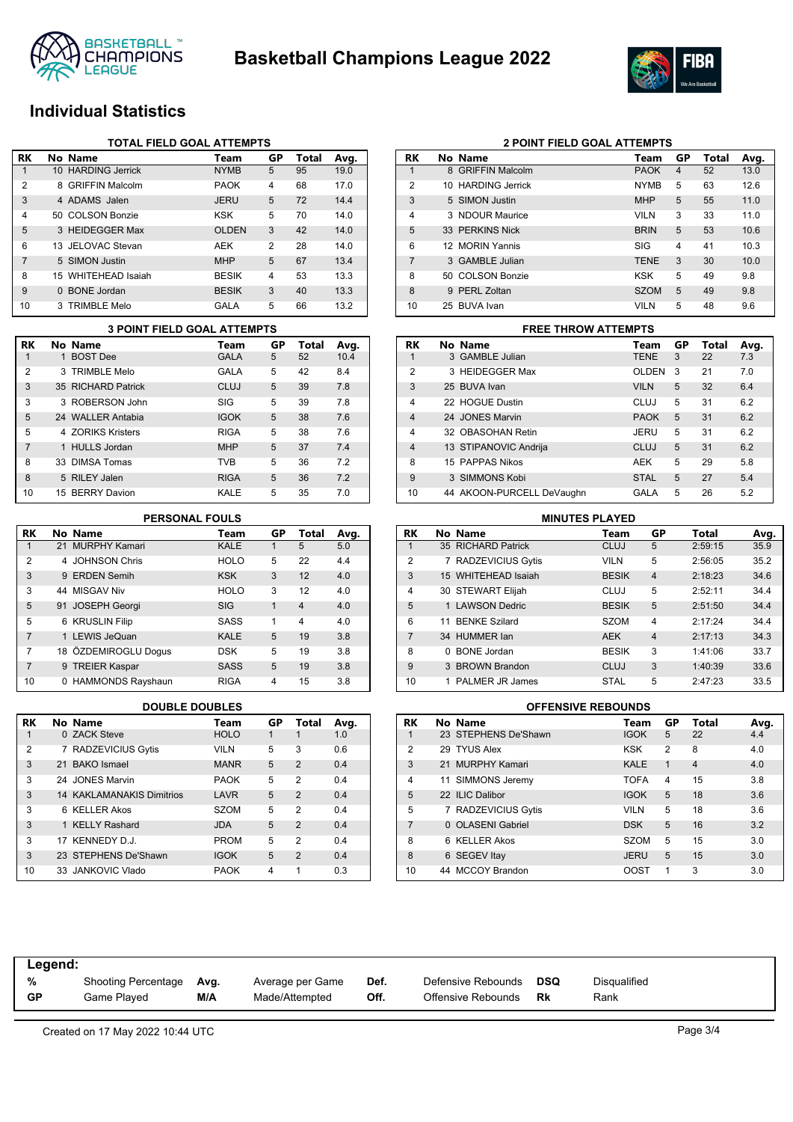



# **Individual Statistics**

|                | TOTAL FIELD GOAL ATTEMPTS |                     |              |                |       |      |  |  |  |  |
|----------------|---------------------------|---------------------|--------------|----------------|-------|------|--|--|--|--|
| RK             |                           | No Name             | Team         | GP             | Total | Avg. |  |  |  |  |
|                |                           | 10 HARDING Jerrick  | <b>NYMB</b>  | 5              | 95    | 19.0 |  |  |  |  |
| 2              |                           | 8 GRIFFIN Malcolm   | <b>PAOK</b>  | $\overline{4}$ | 68    | 17.0 |  |  |  |  |
| 3              |                           | 4 ADAMS Jalen       | <b>JERU</b>  | 5              | 72    | 14.4 |  |  |  |  |
| $\overline{4}$ |                           | 50 COLSON Bonzie    | <b>KSK</b>   | 5              | 70    | 14.0 |  |  |  |  |
| 5              |                           | 3 HEIDEGGER Max     | <b>OLDEN</b> | 3              | 42    | 14.0 |  |  |  |  |
| 6              |                           | 13 JELOVAC Stevan   | AEK          | 2              | 28    | 14.0 |  |  |  |  |
| 7              |                           | 5 SIMON Justin      | <b>MHP</b>   | 5              | 67    | 13.4 |  |  |  |  |
| 8              |                           | 15 WHITEHEAD Isaiah | <b>BESIK</b> | $\overline{4}$ | 53    | 13.3 |  |  |  |  |
| 9              |                           | 0 BONE Jordan       | <b>BESIK</b> | 3              | 40    | 13.3 |  |  |  |  |
| 10             |                           | 3 TRIMBLE Melo      | GALA         | 5              | 66    | 13.2 |  |  |  |  |

|                | <b>3 POINT FIELD GOAL ATTEMPTS</b> |                    |             |    |       |      |  |  |  |  |
|----------------|------------------------------------|--------------------|-------------|----|-------|------|--|--|--|--|
| RK             |                                    | No Name            | Team        | GP | Total | Avg. |  |  |  |  |
| 1              |                                    | 1 BOST Dee         | <b>GALA</b> | 5  | 52    | 10.4 |  |  |  |  |
| $\overline{2}$ |                                    | 3 TRIMBLE Melo     | <b>GALA</b> | 5  | 42    | 8.4  |  |  |  |  |
| 3              |                                    | 35 RICHARD Patrick | CLUJ        | 5  | 39    | 7.8  |  |  |  |  |
| 3              |                                    | 3 ROBERSON John    | SIG         | 5  | 39    | 7.8  |  |  |  |  |
| 5              |                                    | 24 WALLER Antabia  | <b>IGOK</b> | 5  | 38    | 7.6  |  |  |  |  |
| 5              |                                    | 4 70RIKS Kristers  | <b>RIGA</b> | 5  | 38    | 7.6  |  |  |  |  |
| $\overline{7}$ |                                    | 1 HULLS Jordan     | <b>MHP</b>  | 5  | 37    | 7.4  |  |  |  |  |
| 8              |                                    | 33 DIMSA Tomas     | <b>TVB</b>  | 5  | 36    | 7.2  |  |  |  |  |
| 8              |                                    | 5 RILEY Jalen      | <b>RIGA</b> | 5  | 36    | 7.2  |  |  |  |  |
| 10             |                                    | 15 BERRY Davion    | KALE        | 5  | 35    | 7.0  |  |  |  |  |

#### **PERSONAL FOULS**

| <b>RK</b>      | No Name              | Team        | GP | <b>Total</b>   | Avg. |
|----------------|----------------------|-------------|----|----------------|------|
| 1              | 21 MURPHY Kamari     | <b>KALE</b> |    | 5              | 5.0  |
| $\overline{2}$ | 4 JOHNSON Chris      | <b>HOLO</b> | 5  | 22             | 4.4  |
| 3              | 9 ERDEN Semih        | <b>KSK</b>  | 3  | 12             | 4.0  |
| 3              | 44 MISGAV Niv        | <b>HOLO</b> | 3  | 12             | 4.0  |
| 5              | 91 JOSEPH Georgi     | <b>SIG</b>  | 1  | $\overline{4}$ | 4.0  |
| 5              | 6 KRUSLIN Filip      | <b>SASS</b> | 1  | 4              | 4.0  |
| 7              | 1 LEWIS JeQuan       | <b>KALE</b> | 5  | 19             | 3.8  |
| 7              | 18 ÖZDEMIROGLU Dogus | <b>DSK</b>  | 5  | 19             | 3.8  |
| 7              | 9 TREIER Kaspar      | <b>SASS</b> | 5  | 19             | 3.8  |
| 10             | 0 HAMMONDS Rayshaun  | <b>RIGA</b> | 4  | 15             | 3.8  |

| <b>RK</b>      | No Name                          | Team        | GP | Total          | Avg. |
|----------------|----------------------------------|-------------|----|----------------|------|
| 1              | 0 ZACK Steve                     | <b>HOLO</b> | 1  |                | 1.0  |
| $\overline{2}$ | 7 RADZEVICIUS Gytis              | <b>VILN</b> | 5  | 3              | 0.6  |
| 3              | 21 BAKO Ismael                   | <b>MANR</b> | 5  | $\overline{2}$ | 0.4  |
| 3              | 24 JONES Marvin                  | <b>PAOK</b> | 5  | $\mathfrak{p}$ | 0.4  |
| 3              | <b>14 KAKLAMANAKIS Dimitrios</b> | LAVR        | 5  | $\mathcal{P}$  | 0.4  |
| 3              | 6 KELLER Akos                    | <b>SZOM</b> | 5  | 2              | 0.4  |
| 3              | 1 KELLY Rashard                  | <b>JDA</b>  | 5  | $\mathcal{P}$  | 0.4  |
| 3              | 17 KENNEDY D.J.                  | <b>PROM</b> | 5  | $\mathfrak{p}$ | 0.4  |
| 3              | 23 STEPHENS De'Shawn             | <b>IGOK</b> | 5  | $\mathcal{P}$  | 0.4  |
| 10             | 33 JANKOVIC Vlado                | <b>PAOK</b> | 4  | 1              | 0.3  |

| RK             | No Name            | Team        | GP             | Total | Avg. |
|----------------|--------------------|-------------|----------------|-------|------|
| 1              | 8 GRIFFIN Malcolm  | <b>PAOK</b> | $\overline{4}$ | 52    | 13.0 |
| $\overline{2}$ | 10 HARDING Jerrick | <b>NYMB</b> | 5              | 63    | 12.6 |
| 3              | 5 SIMON Justin     | <b>MHP</b>  | 5              | 55    | 11.0 |
| 4              | 3 NDOUR Maurice    | <b>VILN</b> | 3              | 33    | 11.0 |
| 5              | 33 PERKINS Nick    | <b>BRIN</b> | 5              | 53    | 10.6 |
| 6              | 12 MORIN Yannis    | SIG         | 4              | 41    | 10.3 |
| 7              | 3 GAMBLE Julian    | <b>TENE</b> | 3              | 30    | 10.0 |
| 8              | 50 COLSON Bonzie   | <b>KSK</b>  | 5              | 49    | 9.8  |
| 8              | 9 PERL Zoltan      | <b>SZOM</b> | 5              | 49    | 9.8  |
| 10             | 25 BUVA Ivan       | <b>VILN</b> | 5              | 48    | 9.6  |

**2 POINT FIELD GOAL ATTEMPTS**

### **RK No Name Team GP Total Avg.** 1 3 GAMBLE Julian TENE 3 22 7.3 2 3 HEIDEGGER Max **OLDEN** 3 21 7.0 3 25 BUVA Ivan VILN 5 32 6.4 4 22 HOGUE Dustin CLUJ 5 31 6.2 4 24 JONES Marvin PAOK 5 31 6.2 4 32 OBASOHAN Retin JERU 5 31 6.2 4 13 STIPANOVIC Andrija CLUJ 5 31 6.2 8 15 PAPPAS Nikos AEK 5 29 5.8 9 3 SIMMONS Kobi STAL 5 27 5.4 10 44 AKOON-PURCELL DeVaughn GALA 5 26 5.2 **3 POINT FIELD GOAL ATTEMPTS FREE THROW ATTEMPTS**

| <b>MINUTES PLAYED</b> |              |                      |              |                |         |      |  |  |  |  |
|-----------------------|--------------|----------------------|--------------|----------------|---------|------|--|--|--|--|
| <b>RK</b>             |              | No Name              | Team         | GP             | Total   | Avg. |  |  |  |  |
|                       |              | 35 RICHARD Patrick   | <b>CLUJ</b>  | 5              | 2:59:15 | 35.9 |  |  |  |  |
| 2                     |              | 7 RADZEVICIUS Gytis  | <b>VILN</b>  | 5              | 2:56:05 | 35.2 |  |  |  |  |
| 3                     |              | 15 WHITEHEAD Isaiah  | <b>BESIK</b> | $\overline{4}$ | 2:18:23 | 34.6 |  |  |  |  |
| 4                     |              | 30 STEWART Elijah    | CLUJ         | 5              | 2:52:11 | 34.4 |  |  |  |  |
| 5                     |              | 1 LAWSON Dedric      | <b>BESIK</b> | 5              | 2:51:50 | 34.4 |  |  |  |  |
| 6                     | 11           | <b>BENKE Szilard</b> | <b>SZOM</b>  | 4              | 2.17.24 | 34.4 |  |  |  |  |
| $\overline{7}$        |              | 34 HUMMER lan        | <b>AEK</b>   | $\overline{4}$ | 2:17:13 | 34.3 |  |  |  |  |
| 8                     | <sup>n</sup> | <b>BONE</b> Jordan   | <b>BESIK</b> | 3              | 1:41:06 | 33.7 |  |  |  |  |
| 9                     |              | 3 BROWN Brandon      | <b>CLUJ</b>  | 3              | 1:40:39 | 33.6 |  |  |  |  |
| 10                    |              | PALMER JR James      | <b>STAL</b>  | 5              | 2:47:23 | 33.5 |  |  |  |  |

#### **DOUBLE DOUBLES OFFENSIVE REBOUNDS**

| RK             | No Name              | Team        | GP             | <b>Total</b>   | Avg. |
|----------------|----------------------|-------------|----------------|----------------|------|
| 1              | 23 STEPHENS De'Shawn | <b>IGOK</b> | 5              | 22             | 4.4  |
| $\overline{2}$ | 29 TYUS Alex         | <b>KSK</b>  | $\overline{2}$ | 8              | 4.0  |
| 3              | 21 MURPHY Kamari     | <b>KALE</b> | 1              | $\overline{4}$ | 4.0  |
| $\overline{4}$ | 11 SIMMONS Jeremy    | <b>TOFA</b> | 4              | 15             | 3.8  |
| 5              | 22 ILIC Dalibor      | <b>IGOK</b> | 5              | 18             | 3.6  |
| 5              | 7 RADZEVICIUS Gytis  | <b>VILN</b> | 5              | 18             | 3.6  |
| 7              | 0 OLASENI Gabriel    | <b>DSK</b>  | 5              | 16             | 3.2  |
| 8              | 6 KELLER Akos        | <b>SZOM</b> | 5              | 15             | 3.0  |
| 8              | 6 SEGEV Itay         | <b>JERU</b> | 5              | 15             | 3.0  |
| 10             | 44 MCCOY Brandon     | OOST        | 1              | 3              | 3.0  |

| Legend: |                            |      |                  |      |                    |     |              |
|---------|----------------------------|------|------------------|------|--------------------|-----|--------------|
| %       | <b>Shooting Percentage</b> | Avg. | Average per Game | Def. | Defensive Rebounds | DSQ | Disqualified |
| GP      | Game Plaved                | M/A  | Made/Attempted   | Off. | Offensive Rebounds | Rk  | Rank         |